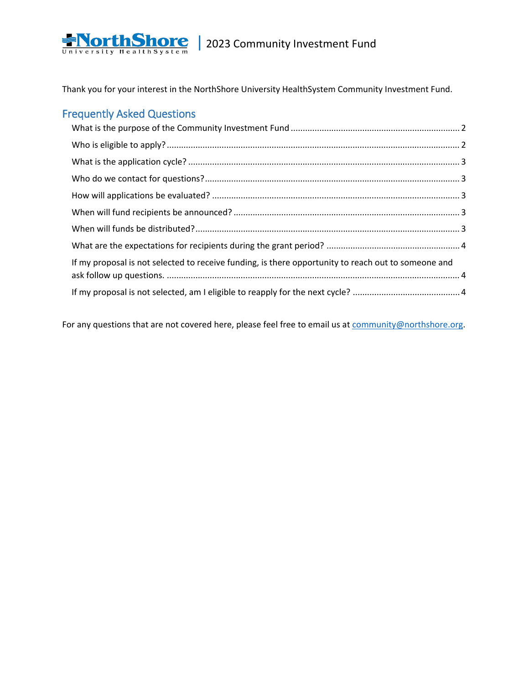

Thank you for your interest in the NorthShore University HealthSystem Community Investment Fund.

## Frequently Asked Questions

| If my proposal is not selected to receive funding, is there opportunity to reach out to someone and |  |
|-----------------------------------------------------------------------------------------------------|--|
|                                                                                                     |  |

For any questions that are not covered here, please feel free to email us at [community@northshore.org.](mailto:community@northshore.org)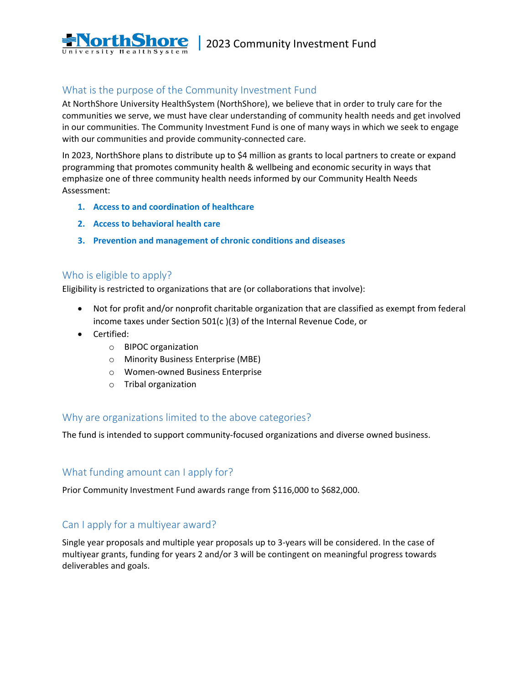

## <span id="page-1-0"></span>What is the purpose of the Community Investment Fund

At NorthShore University HealthSystem (NorthShore), we believe that in order to truly care for the communities we serve, we must have clear understanding of community health needs and get involved in our communities. The Community Investment Fund is one of many ways in which we seek to engage with our communities and provide community-connected care.

In 2023, NorthShore plans to distribute up to \$4 million as grants to local partners to create or expand programming that promotes community health & wellbeing and economic security in ways that emphasize one of three community health needs informed by our Community Health Needs Assessment:

- **1. Access to and coordination of healthcare**
- **2. Access to behavioral health care**
- **3. Prevention and management of chronic conditions and diseases**

#### <span id="page-1-1"></span>Who is eligible to apply?

Eligibility is restricted to organizations that are (or collaborations that involve):

- Not for profit and/or nonprofit charitable organization that are classified as exempt from federal income taxes under Section 501(c )(3) of the Internal Revenue Code, or
- Certified:
	- o BIPOC organization
	- o Minority Business Enterprise (MBE)
	- o Women-owned Business Enterprise
	- o Tribal organization

#### Why are organizations limited to the above categories?

The fund is intended to support community-focused organizations and diverse owned business.

### What funding amount can I apply for?

Prior Community Investment Fund awards range from \$116,000 to \$682,000.

### Can I apply for a multiyear award?

<span id="page-1-2"></span>Single year proposals and multiple year proposals up to 3-years will be considered. In the case of multiyear grants, funding for years 2 and/or 3 will be contingent on meaningful progress towards deliverables and goals.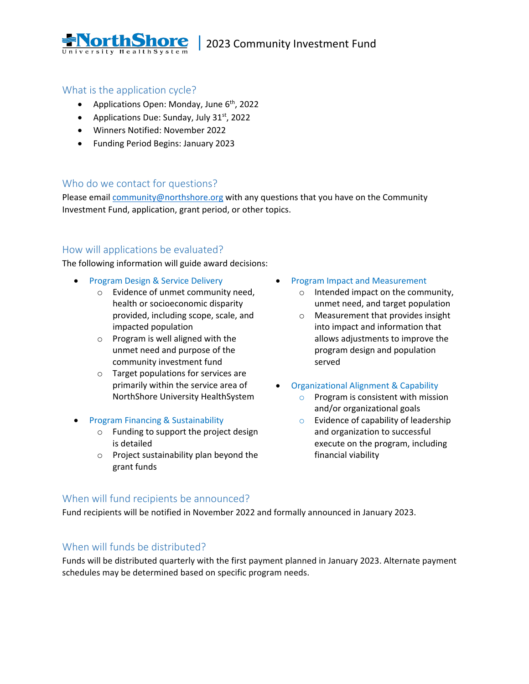

#### What is the application cycle?

- Applications Open: Monday, June  $6<sup>th</sup>$ , 2022
- Applications Due: Sunday, July  $31^{st}$ , 2022
- Winners Notified: November 2022
- Funding Period Begins: January 2023

### <span id="page-2-0"></span>Who do we contact for questions?

Please email [community@northshore.org](mailto:community@northshore.org) with any questions that you have on the Community Investment Fund, application, grant period, or other topics.

### <span id="page-2-1"></span>How will applications be evaluated?

The following information will guide award decisions:

- Program Design & Service Delivery
	- o Evidence of unmet community need, health or socioeconomic disparity provided, including scope, scale, and impacted population
	- o Program is well aligned with the unmet need and purpose of the community investment fund
	- o Target populations for services are primarily within the service area of NorthShore University HealthSystem
- Program Financing & Sustainability
	- o Funding to support the project design is detailed
	- o Project sustainability plan beyond the grant funds
- Program Impact and Measurement
	- o Intended impact on the community, unmet need, and target population
	- o Measurement that provides insight into impact and information that allows adjustments to improve the program design and population served
- Organizational Alignment & Capability
	- $\circ$  Program is consistent with mission and/or organizational goals
	- $\circ$  Evidence of capability of leadership and organization to successful execute on the program, including financial viability

### <span id="page-2-2"></span>When will fund recipients be announced?

Fund recipients will be notified in November 2022 and formally announced in January 2023.

### <span id="page-2-3"></span>When will funds be distributed?

<span id="page-2-4"></span>Funds will be distributed quarterly with the first payment planned in January 2023. Alternate payment schedules may be determined based on specific program needs.